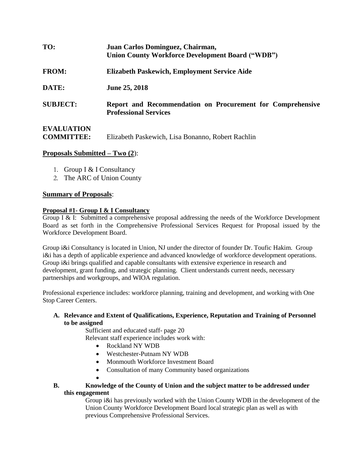| TO:                                    | Juan Carlos Dominguez, Chairman,<br><b>Union County Workforce Development Board ("WDB")</b> |
|----------------------------------------|---------------------------------------------------------------------------------------------|
| <b>FROM:</b>                           | Elizabeth Paskewich, Employment Service Aide                                                |
| DATE:                                  | <b>June 25, 2018</b>                                                                        |
| <b>SUBJECT:</b>                        | Report and Recommendation on Procurement for Comprehensive<br><b>Professional Services</b>  |
| <b>EVALUATION</b><br><b>COMMITTEE:</b> | Elizabeth Paskewich, Lisa Bonanno, Robert Rachlin                                           |

### **Proposals Submitted – Two (2**):

- 1. Group I & I Consultancy
- 2. The ARC of Union County

#### **Summary of Proposals**:

#### **Proposal #1- Group I & I Consultancy**

Group I & I: Submitted a comprehensive proposal addressing the needs of the Workforce Development Board as set forth in the Comprehensive Professional Services Request for Proposal issued by the Workforce Development Board.

Group i&i Consultancy is located in Union, NJ under the director of founder Dr. Toufic Hakim. Group i&i has a depth of applicable experience and advanced knowledge of workforce development operations. Group i&i brings qualified and capable consultants with extensive experience in research and development, grant funding, and strategic planning. Client understands current needs, necessary partnerships and workgroups, and WIOA regulation.

Professional experience includes: workforce planning, training and development, and working with One Stop Career Centers.

### **A. Relevance and Extent of Qualifications, Experience, Reputation and Training of Personnel to be assigned**

Sufficient and educated staff- page 20

Relevant staff experience includes work with:

- Rockland NY WDB
- Westchester-Putnam NY WDB
- Monmouth Workforce Investment Board
- Consultation of many Community based organizations
- $\bullet$

# **B. Knowledge of the County of Union and the subject matter to be addressed under this engagement**

Group i&i has previously worked with the Union County WDB in the development of the Union County Workforce Development Board local strategic plan as well as with previous Comprehensive Professional Services.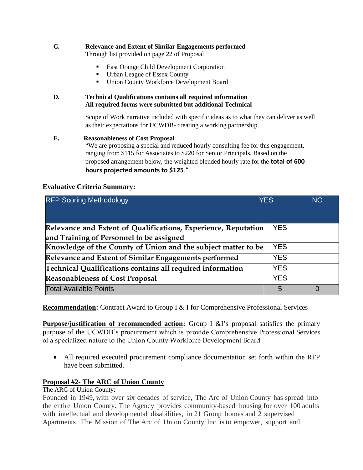## **C. Relevance and Extent of Similar Engagements performed**

Through list provided on page 22 of Proposal

- East Orange Child Development Corporation
- Urban League of Essex County
- Union County Workforce Development Board

### **D. Technical Qualifications contains all required information All required forms were submitted but additional Technical**

Scope of Work narrative included with specific ideas as to what they can deliver as well as their expectations for UCWDB- creating a working partnership.

### **E. Reasonableness of Cost Proposal**

"We are proposing a special and reduced hourly consulting fee for this engagement, ranging from \$115 for Associates to \$220 for Senior Principals. Based on the proposed arrangement below, the weighted blended hourly rate for the **total of 600 hours projected amounts to \$125**."

### **Evaluative Criteria Summary:**

| <b>RFP Scoring Methodology</b>                                                                             | <b>YES</b> | <b>NO</b> |
|------------------------------------------------------------------------------------------------------------|------------|-----------|
| Relevance and Extent of Qualifications, Experience, Reputation<br>and Training of Personnel to be assigned | YES.       |           |
| Knowledge of the County of Union and the subject matter to be                                              | <b>YES</b> |           |
| Relevance and Extent of Similar Engagements performed                                                      | <b>YES</b> |           |
| Technical Qualifications contains all required information                                                 | <b>YES</b> |           |
| <b>Reasonableness of Cost Proposal</b>                                                                     | <b>YES</b> |           |
| <b>Total Available Points</b>                                                                              | 5          |           |

**Recommendation:** Contract Award to Group I & I for Comprehensive Professional Services

**Purpose/justification of recommended action:** Group I &I's proposal satisfies the primary purpose of the UCWDB's procurement which is provide Comprehensive Professional Services of a specialized nature to the Union County Workforce Development Board

 All required executed procurement compliance documentation set forth within the RFP have been submitted.

## **Proposal #2- The ARC of Union County**

The ARC of Union County:

Founded in 1949, with over six decades of service, The Arc of Union County has spread into the entire Union County. The Agency provides community-based housing for over 100 adults with intellectual and developmental disabilities, in 21 Group homes and 2 supervised Apartments . The Mission of The Arc of Union County Inc. is to empower, support and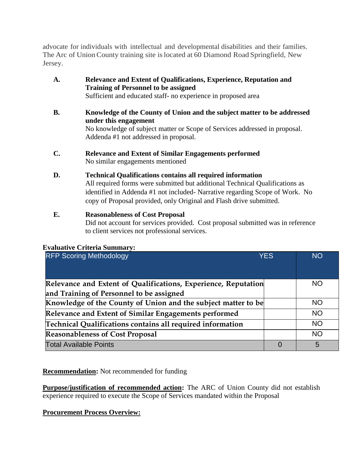advocate for individuals with intellectual and developmental disabilities and their families. The Arc of UnionCounty training site islocated at 60 Diamond Road Springfield, New Jersey.

- **A. Relevance and Extent of Qualifications, Experience, Reputation and Training of Personnel to be assigned** Sufficient and educated staff- no experience in proposed area
- **B. Knowledge of the County of Union and the subject matter to be addressed under this engagement** No knowledge of subject matter or Scope of Services addressed in proposal. Addenda #1 not addressed in proposal.
- **C. Relevance and Extent of Similar Engagements performed** No similar engagements mentioned
- **D. Technical Qualifications contains all required information**

All required forms were submitted but additional Technical Qualifications as identified in Addenda #1 not included- Narrative regarding Scope of Work. No copy of Proposal provided, only Original and Flash drive submitted.

## **E. Reasonableness of Cost Proposal**

Did not account for services provided. Cost proposal submitted was in reference to client services not professional services.

| <b>RFP Scoring Methodology</b>                                 | <b>YES</b> | <b>NO</b> |
|----------------------------------------------------------------|------------|-----------|
| Relevance and Extent of Qualifications, Experience, Reputation |            | NO.       |
| and Training of Personnel to be assigned                       |            |           |
| Knowledge of the County of Union and the subject matter to be  |            | NO.       |
| Relevance and Extent of Similar Engagements performed          |            | <b>NO</b> |
| Technical Qualifications contains all required information     |            | <b>NO</b> |
| <b>Reasonableness of Cost Proposal</b>                         |            | <b>NO</b> |
| <b>Total Available Points</b>                                  | $\Omega$   | 5         |

## **Evaluative Criteria Summary:**

**Recommendation:** Not recommended for funding

**Purpose/justification of recommended action:** The ARC of Union County did not establish experience required to execute the Scope of Services mandated within the Proposal

**Procurement Process Overview:**